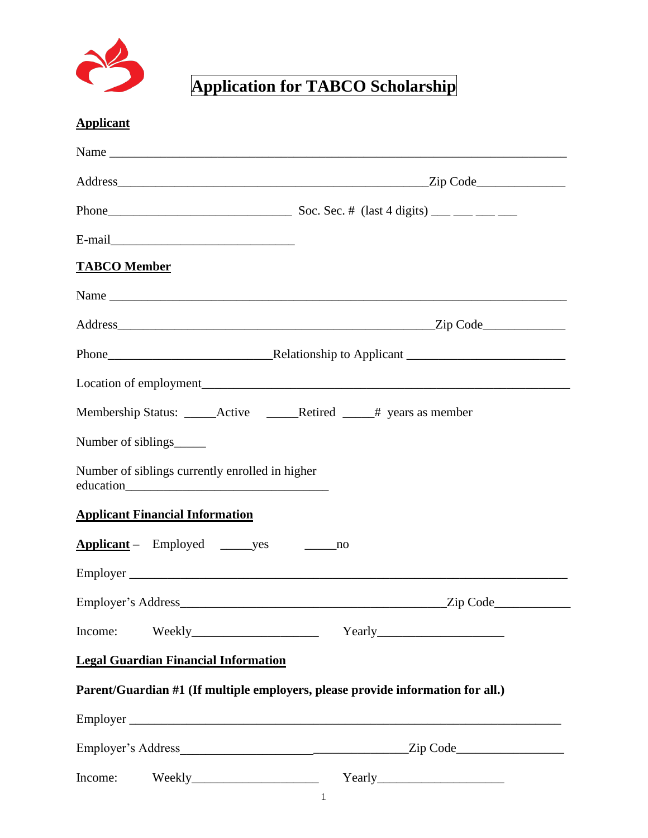

## **Application for TABCO Scholarship**

## **Applicant**

| E-mail                                                                          |                            |
|---------------------------------------------------------------------------------|----------------------------|
| <b>TABCO</b> Member                                                             |                            |
|                                                                                 | Name                       |
|                                                                                 |                            |
|                                                                                 |                            |
|                                                                                 |                            |
|                                                                                 |                            |
| Number of siblings_                                                             |                            |
| Number of siblings currently enrolled in higher                                 |                            |
| <b>Applicant Financial Information</b>                                          |                            |
| Applicant – Employed ________ yes ___________ no                                |                            |
|                                                                                 |                            |
|                                                                                 | $\angle$ Zip Code $\angle$ |
| Income:                                                                         |                            |
| <b>Legal Guardian Financial Information</b>                                     |                            |
| Parent/Guardian #1 (If multiple employers, please provide information for all.) |                            |
|                                                                                 |                            |
|                                                                                 |                            |
| Income:                                                                         |                            |